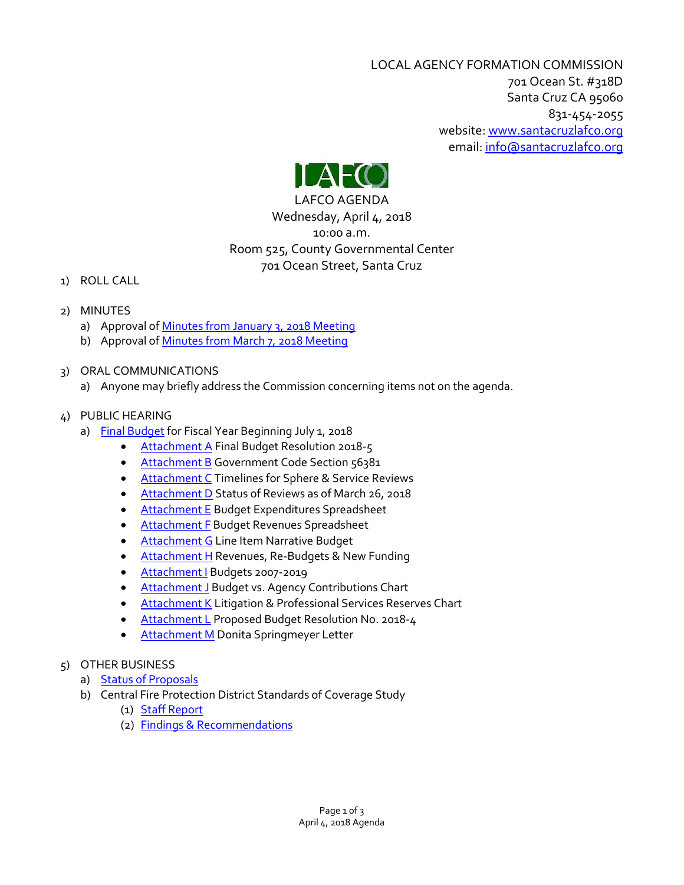LOCAL AGENCY FORMATION COMMISSION 701 Ocean St. #318D Santa Cruz CA 95060 831-454-2055 website: [www.santacruzlafco.org](http://www.santacruzlafco.org/) email[: info@santacruzlafco.org](mailto:info@santacruzlafco.org)



LAFCO AGENDA Wednesday, April 4, 2018 10:00 a.m. Room 525, County Governmental Center 701 Ocean Street, Santa Cruz

- 1) ROLL CALL
- 2) MINUTES
	- a) Approval of [Minutes from January 3, 2018](http://www.santacruzlafco.org/wp-content/uploads/2018/03/2a-1-3-18-Minutes.pdf) Meeting
	- b) Approval of [Minutes from March 7, 2018](http://www.santacruzlafco.org/wp-content/uploads/2018/03/2b-3-7-18-Minutes.pdf) Meeting
- 3) ORAL COMMUNICATIONS
	- a) Anyone may briefly address the Commission concerning items not on the agenda.
- 4) PUBLIC HEARING
	- a) Final [Budget](http://www.santacruzlafco.org/wp-content/uploads/2018/03/4-AA-Final-budget-18-19-staff-report-Mar-28.pdf) for Fiscal Year Beginning July 1, 2018
		- [Attachment A](http://www.santacruzlafco.org/wp-content/uploads/2018/03/4-Attachment-A-Final-Budget-Res-2018-19-2.pdf) Final Budget Resolution 2018-5
		- [Attachment B](http://www.santacruzlafco.org/wp-content/uploads/2018/03/4-Attachment-B-Gov-Code.pdf) Government Code Section 56381
		- [Attachment C](http://www.santacruzlafco.org/wp-content/uploads/2018/03/4-Attachment-C-Timelines-Gov-Code-56425.pdf) Timelines for Sphere & Service Reviews
		- [Attachment D](http://www.santacruzlafco.org/wp-content/uploads/2018/03/4-Attachment-D-SOIs-MSRs-as-of-Mar-26-2018.pdf) Status of Reviews as of March 26, 2018
		- [Attachment E](http://www.santacruzlafco.org/wp-content/uploads/2018/03/4-Attachment-E-Spreadsheet-Mar-20-2018.pdf) Budget Expenditures Spreadsheet
		- **[Attachment F](http://www.santacruzlafco.org/wp-content/uploads/2018/03/4-Attachment-F-Spreadsheet-Expenditures-3.pdf) Budget Revenues Spreadsheet**
		- [Attachment G](http://www.santacruzlafco.org/wp-content/uploads/2018/03/4-Attachment-G-Line-Item-Narrative-FY-18-19-Proposed.pdf) Line Item Narrative Budget
		- [Attachment H](http://www.santacruzlafco.org/wp-content/uploads/2018/03/4-Attachment-H-Revenues-Re-Budgets-and-New-Funding-2018.pdf) Revenues, Re-Budgets & New Funding
		- [Attachment I](http://www.santacruzlafco.org/wp-content/uploads/2018/03/4-Attachment-I-Budgets-2007-19.pdf) Budgets 2007-2019
		- [Attachment J](http://www.santacruzlafco.org/wp-content/uploads/2018/03/4-Attachment-J-Budget-and-Contributions-Chart-2.pdf) Budget vs. Agency Contributions Chart
		- **[Attachment K](http://www.santacruzlafco.org/wp-content/uploads/2018/03/4-Attachment-K-Reserves-Chart.pdf) Litigation & Professional Services Reserves Chart**
		- [Attachment L](http://www.santacruzlafco.org/wp-content/uploads/2018/03/4-Attachment-L-Proposed-budget-res-2018.pdf) Proposed Budget Resolution No. 2018-4
		- **[Attachment M](http://www.santacruzlafco.org/wp-content/uploads/2018/03/4-Attachment-M-March-6-letter-of-Donita-Springmeyer-v2.pdf)** Donita Springmeyer Letter
- 5) OTHER BUSINESS
	- a) [Status of Proposals](http://www.santacruzlafco.org/wp-content/uploads/2018/03/5a-Status-of-Proposals-3-26-18.pdf)
	- b) Central Fire Protection District Standards of Coverage Study
		- (1) [Staff Report](http://www.santacruzlafco.org/wp-content/uploads/2018/03/5b-Central-FPD-standards-2018.pdf)
		- (2) [Findings & Recommendations](http://www.santacruzlafco.org/wp-content/uploads/2018/03/5b-CFPD-Standards-2018-Findings.pdf)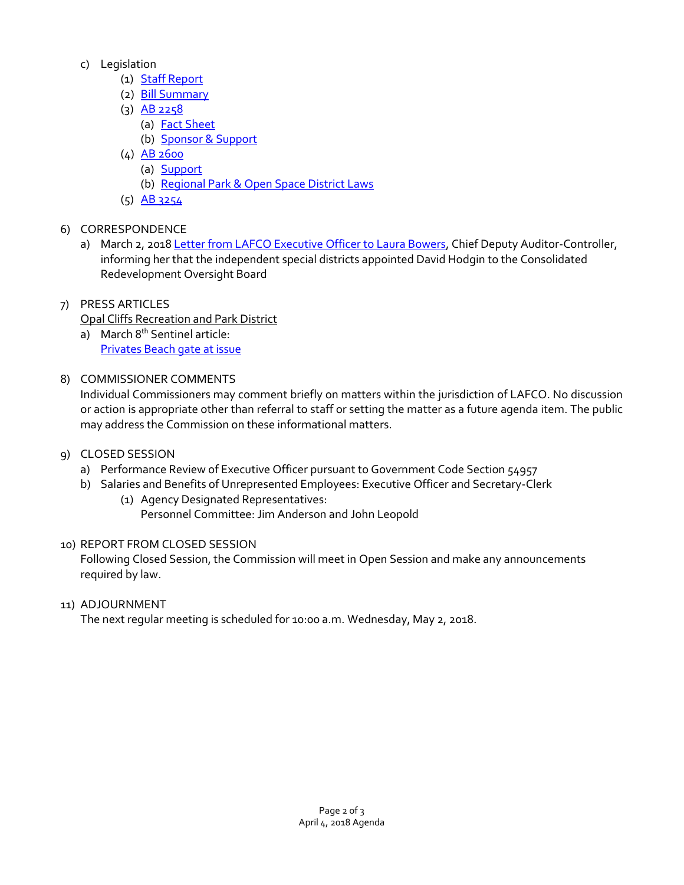- c) Legislation
	- (1) [Staff Report](http://www.santacruzlafco.org/wp-content/uploads/2018/03/5c-Legislative-Report-for-April-4.pdf)
	- (2) [Bill Summary](http://www.santacruzlafco.org/wp-content/uploads/2018/03/5c1-Legislation-2018.pdf)
	- $(3)$  [AB 2258](http://www.santacruzlafco.org/wp-content/uploads/2018/03/5c2-AB2258_98.pdf)
		- (a) [Fact Sheet](http://www.santacruzlafco.org/wp-content/uploads/2018/03/5c4-AB-2258-CALAFCO-Fact-Sheet.pdf)
		- (b) [Sponsor & Support](http://www.santacruzlafco.org/wp-content/uploads/2018/03/5c4-AB-2258_CALAFCO-Sponsor-and-Support.pdf)
	- (4) [AB 2600](http://www.santacruzlafco.org/wp-content/uploads/2018/03/5c5-AB2600_99.pdf)
		- (a) [Support](http://www.santacruzlafco.org/wp-content/uploads/2018/03/5c6-AB-2600-support.pdf)
		- (b) [Regional Park & Open Space District Laws](http://www.santacruzlafco.org/wp-content/uploads/2018/03/5c7-Regional-Park-and-Open-Space-Districts-v2.pdf)
	- (5) [AB 3254](http://www.santacruzlafco.org/wp-content/uploads/2018/03/5c8-AB3254_99.pdf)
- 6) CORRESPONDENCE
	- a) March 2, 2018 Letter [from LAFCO Executive Officer to Laura Bowers,](http://www.santacruzlafco.org/wp-content/uploads/2018/03/6-Bowers-appoinment-2018.pdf) Chief Deputy Auditor-Controller, informing her that the independent special districts appointed David Hodgin to the Consolidated Redevelopment Oversight Board
- 7) PRESS ARTICLES

Opal Cliffs Recreation and Park District

- a) March 8<sup>th</sup> Sentinel article: [Privates Beach gate at issue](http://www.santacruzlafco.org/wp-content/uploads/2018/03/7a-Opal-Cliffs-article.pdf)
- 8) COMMISSIONER COMMENTS

Individual Commissioners may comment briefly on matters within the jurisdiction of LAFCO. No discussion or action is appropriate other than referral to staff or setting the matter as a future agenda item. The public may address the Commission on these informational matters.

# 9) CLOSED SESSION

- a) Performance Review of Executive Officer pursuant to Government Code Section 54957
- b) Salaries and Benefits of Unrepresented Employees: Executive Officer and Secretary-Clerk
	- (1) Agency Designated Representatives: Personnel Committee: Jim Anderson and John Leopold

# 10) REPORT FROM CLOSED SESSION

Following Closed Session, the Commission will meet in Open Session and make any announcements required by law.

11) ADJOURNMENT

The next regular meeting is scheduled for 10:00 a.m. Wednesday, May 2, 2018.